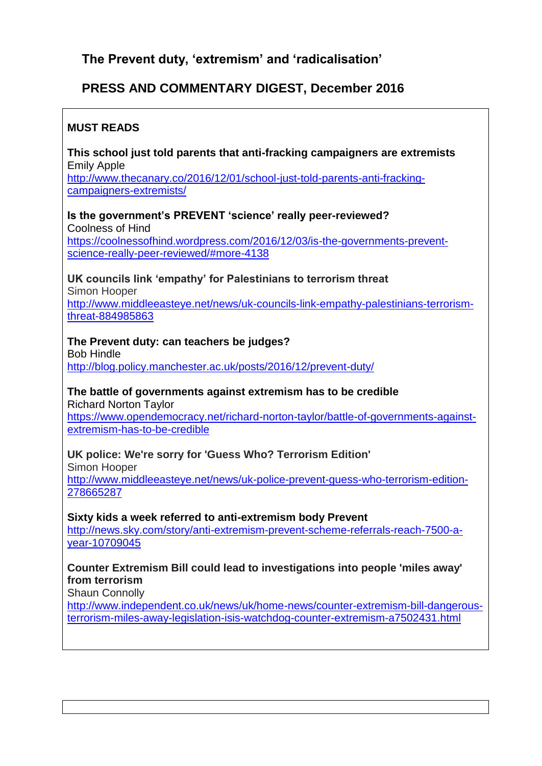# **The Prevent duty, 'extremism' and 'radicalisation'**

# **PRESS AND COMMENTARY DIGEST, December 2016**

## **MUST READS**

**This school just told parents that anti-fracking campaigners are extremists** Emily Apple [http://www.thecanary.co/2016/12/01/school-just-told-parents-anti-fracking](http://www.thecanary.co/2016/12/01/school-just-told-parents-anti-fracking-campaigners-extremists/)[campaigners-extremists/](http://www.thecanary.co/2016/12/01/school-just-told-parents-anti-fracking-campaigners-extremists/)

**Is the government's PREVENT 'science' really peer-reviewed?** Coolness of Hind [https://coolnessofhind.wordpress.com/2016/12/03/is-the-governments-prevent](https://coolnessofhind.wordpress.com/2016/12/03/is-the-governments-prevent-science-really-peer-reviewed/#more-4138)[science-really-peer-reviewed/#more-4138](https://coolnessofhind.wordpress.com/2016/12/03/is-the-governments-prevent-science-really-peer-reviewed/#more-4138)

**UK councils link 'empathy' for Palestinians to terrorism threat**

Simon Hooper

[http://www.middleeasteye.net/news/uk-councils-link-empathy-palestinians-terrorism](http://www.middleeasteye.net/news/uk-councils-link-empathy-palestinians-terrorism-threat-884985863)[threat-884985863](http://www.middleeasteye.net/news/uk-councils-link-empathy-palestinians-terrorism-threat-884985863)

# **The Prevent duty: can teachers be judges?**

Bob Hindle <http://blog.policy.manchester.ac.uk/posts/2016/12/prevent-duty/>

### **The battle of governments against extremism has to be credible**

Richard Norton Taylor [https://www.opendemocracy.net/richard-norton-taylor/battle-of-governments-against](https://www.opendemocracy.net/richard-norton-taylor/battle-of-governments-against-extremism-has-to-be-credible)[extremism-has-to-be-credible](https://www.opendemocracy.net/richard-norton-taylor/battle-of-governments-against-extremism-has-to-be-credible)

## **UK police: We're sorry for 'Guess Who? Terrorism Edition'**

Simon Hooper [http://www.middleeasteye.net/news/uk-police-prevent-guess-who-terrorism-edition-](http://www.middleeasteye.net/news/uk-police-prevent-guess-who-terrorism-edition-278665287)[278665287](http://www.middleeasteye.net/news/uk-police-prevent-guess-who-terrorism-edition-278665287)

**Sixty kids a week referred to anti-extremism body Prevent**

[http://news.sky.com/story/anti-extremism-prevent-scheme-referrals-reach-7500-a](http://news.sky.com/story/anti-extremism-prevent-scheme-referrals-reach-7500-a-year-10709045)[year-10709045](http://news.sky.com/story/anti-extremism-prevent-scheme-referrals-reach-7500-a-year-10709045)

### **Counter Extremism Bill could lead to investigations into people 'miles away' from terrorism**

Shaun Connolly

[http://www.independent.co.uk/news/uk/home-news/counter-extremism-bill-dangerous](http://www.independent.co.uk/news/uk/home-news/counter-extremism-bill-dangerous-terrorism-miles-away-legislation-isis-watchdog-counter-extremism-a7502431.html)[terrorism-miles-away-legislation-isis-watchdog-counter-extremism-a7502431.html](http://www.independent.co.uk/news/uk/home-news/counter-extremism-bill-dangerous-terrorism-miles-away-legislation-isis-watchdog-counter-extremism-a7502431.html)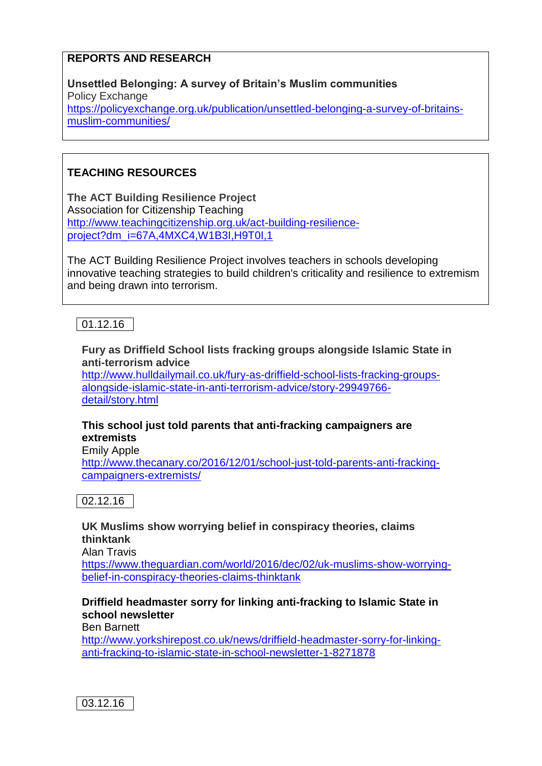## **REPORTS AND RESEARCH**

**Unsettled Belonging: A survey of Britain's Muslim communities** Policy Exchange [https://policyexchange.org.uk/publication/unsettled-belonging-a-survey-of-britains](https://policyexchange.org.uk/publication/unsettled-belonging-a-survey-of-britains-muslim-communities/)[muslim-communities/](https://policyexchange.org.uk/publication/unsettled-belonging-a-survey-of-britains-muslim-communities/)

# **TEACHING RESOURCES**

**The ACT Building Resilience Project** Association for Citizenship Teaching [http://www.teachingcitizenship.org.uk/act-building-resilience](http://www.teachingcitizenship.org.uk/act-building-resilience-project?dm_i=67A,4MXC4,W1B3I,H9T0I,1)project?dm\_i=67A,4MXC4,W1B3I,H9T0I,1

The ACT Building Resilience Project involves teachers in schools developing innovative teaching strategies to build children's criticality and resilience to extremism and being drawn into terrorism.

01.12.16

**Fury as Driffield School lists fracking groups alongside Islamic State in anti-terrorism advice**

[http://www.hulldailymail.co.uk/fury-as-driffield-school-lists-fracking-groups](http://www.hulldailymail.co.uk/fury-as-driffield-school-lists-fracking-groups-alongside-islamic-state-in-anti-terrorism-advice/story-29949766-detail/story.html)[alongside-islamic-state-in-anti-terrorism-advice/story-29949766](http://www.hulldailymail.co.uk/fury-as-driffield-school-lists-fracking-groups-alongside-islamic-state-in-anti-terrorism-advice/story-29949766-detail/story.html) [detail/story.html](http://www.hulldailymail.co.uk/fury-as-driffield-school-lists-fracking-groups-alongside-islamic-state-in-anti-terrorism-advice/story-29949766-detail/story.html)

### **This school just told parents that anti-fracking campaigners are extremists**

Emily Apple [http://www.thecanary.co/2016/12/01/school-just-told-parents-anti-fracking](http://www.thecanary.co/2016/12/01/school-just-told-parents-anti-fracking-campaigners-extremists/)[campaigners-extremists/](http://www.thecanary.co/2016/12/01/school-just-told-parents-anti-fracking-campaigners-extremists/)

02.12.16

**UK Muslims show worrying belief in conspiracy theories, claims thinktank**

Alan Travis

[https://www.theguardian.com/world/2016/dec/02/uk-muslims-show-worrying](https://www.theguardian.com/world/2016/dec/02/uk-muslims-show-worrying-belief-in-conspiracy-theories-claims-thinktank)[belief-in-conspiracy-theories-claims-thinktank](https://www.theguardian.com/world/2016/dec/02/uk-muslims-show-worrying-belief-in-conspiracy-theories-claims-thinktank)

### **Driffield headmaster sorry for linking anti-fracking to Islamic State in school newsletter**

Ben Barnett

[http://www.yorkshirepost.co.uk/news/driffield-headmaster-sorry-for-linking](http://www.yorkshirepost.co.uk/news/driffield-headmaster-sorry-for-linking-anti-fracking-to-islamic-state-in-school-newsletter-1-8271878)[anti-fracking-to-islamic-state-in-school-newsletter-1-8271878](http://www.yorkshirepost.co.uk/news/driffield-headmaster-sorry-for-linking-anti-fracking-to-islamic-state-in-school-newsletter-1-8271878)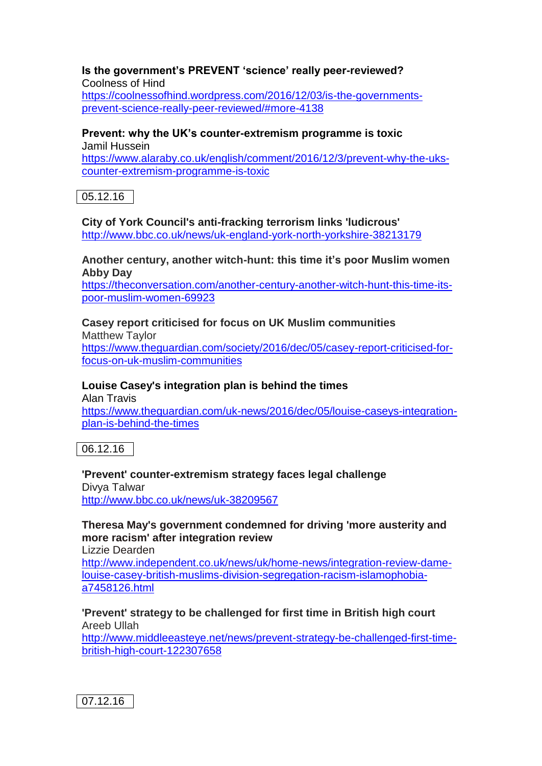#### **Is the government's PREVENT 'science' really peer-reviewed?** Coolness of Hind [https://coolnessofhind.wordpress.com/2016/12/03/is-the-governments-](https://coolnessofhind.wordpress.com/2016/12/03/is-the-governments-prevent-science-really-peer-reviewed/#more-4138)

# [prevent-science-really-peer-reviewed/#more-4138](https://coolnessofhind.wordpress.com/2016/12/03/is-the-governments-prevent-science-really-peer-reviewed/#more-4138)

#### **Prevent: why the UK's counter-extremism programme is toxic** Jamil Hussein

[https://www.alaraby.co.uk/english/comment/2016/12/3/prevent-why-the-uks](https://www.alaraby.co.uk/english/comment/2016/12/3/prevent-why-the-uks-counter-extremism-programme-is-toxic)[counter-extremism-programme-is-toxic](https://www.alaraby.co.uk/english/comment/2016/12/3/prevent-why-the-uks-counter-extremism-programme-is-toxic)

05.12.16

**City of York Council's anti-fracking terrorism links 'ludicrous'** <http://www.bbc.co.uk/news/uk-england-york-north-yorkshire-38213179>

### **Another century, another witch-hunt: this time it's poor Muslim women Abby Day**

[https://theconversation.com/another-century-another-witch-hunt-this-time-its](https://theconversation.com/another-century-another-witch-hunt-this-time-its-poor-muslim-women-69923)[poor-muslim-women-69923](https://theconversation.com/another-century-another-witch-hunt-this-time-its-poor-muslim-women-69923)

# **Casey report criticised for focus on UK Muslim communities**

Matthew Taylor [https://www.theguardian.com/society/2016/dec/05/casey-report-criticised-for](https://www.theguardian.com/society/2016/dec/05/casey-report-criticised-for-focus-on-uk-muslim-communities)[focus-on-uk-muslim-communities](https://www.theguardian.com/society/2016/dec/05/casey-report-criticised-for-focus-on-uk-muslim-communities)

## **Louise Casey's integration plan is behind the times**

Alan Travis [https://www.theguardian.com/uk-news/2016/dec/05/louise-caseys-integration](https://www.theguardian.com/uk-news/2016/dec/05/louise-caseys-integration-plan-is-behind-the-times)[plan-is-behind-the-times](https://www.theguardian.com/uk-news/2016/dec/05/louise-caseys-integration-plan-is-behind-the-times)

06.12.16

## **'Prevent' counter-extremism strategy faces legal challenge**

Divya Talwar <http://www.bbc.co.uk/news/uk-38209567>

# **Theresa May's government condemned for driving 'more austerity and more racism' after integration review**

Lizzie Dearden

[http://www.independent.co.uk/news/uk/home-news/integration-review-dame](http://www.independent.co.uk/news/uk/home-news/integration-review-dame-louise-casey-british-muslims-division-segregation-racism-islamophobia-a7458126.html)[louise-casey-british-muslims-division-segregation-racism-islamophobia](http://www.independent.co.uk/news/uk/home-news/integration-review-dame-louise-casey-british-muslims-division-segregation-racism-islamophobia-a7458126.html)[a7458126.html](http://www.independent.co.uk/news/uk/home-news/integration-review-dame-louise-casey-british-muslims-division-segregation-racism-islamophobia-a7458126.html)

### **'Prevent' strategy to be challenged for first time in British high court** Areeb Ullah

[http://www.middleeasteye.net/news/prevent-strategy-be-challenged-first-time](http://www.middleeasteye.net/news/prevent-strategy-be-challenged-first-time-british-high-court-122307658)[british-high-court-122307658](http://www.middleeasteye.net/news/prevent-strategy-be-challenged-first-time-british-high-court-122307658)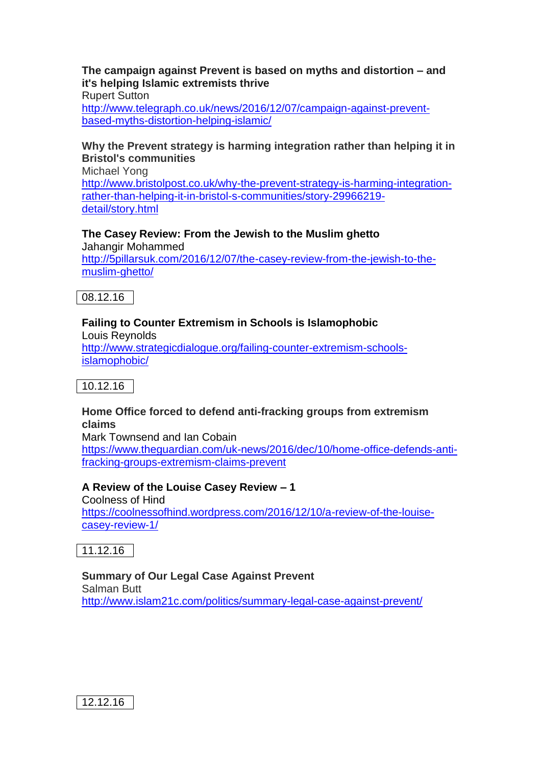### **The campaign against Prevent is based on myths and distortion – and it's helping Islamic extremists thrive**

Rupert Sutton

[http://www.telegraph.co.uk/news/2016/12/07/campaign-against-prevent](http://www.telegraph.co.uk/news/2016/12/07/campaign-against-prevent-based-myths-distortion-helping-islamic/)[based-myths-distortion-helping-islamic/](http://www.telegraph.co.uk/news/2016/12/07/campaign-against-prevent-based-myths-distortion-helping-islamic/)

### **Why the Prevent strategy is harming integration rather than helping it in Bristol's communities**

Michael Yong [http://www.bristolpost.co.uk/why-the-prevent-strategy-is-harming-integration](http://www.bristolpost.co.uk/why-the-prevent-strategy-is-harming-integration-rather-than-helping-it-in-bristol-s-communities/story-29966219-detail/story.html)[rather-than-helping-it-in-bristol-s-communities/story-29966219](http://www.bristolpost.co.uk/why-the-prevent-strategy-is-harming-integration-rather-than-helping-it-in-bristol-s-communities/story-29966219-detail/story.html) [detail/story.html](http://www.bristolpost.co.uk/why-the-prevent-strategy-is-harming-integration-rather-than-helping-it-in-bristol-s-communities/story-29966219-detail/story.html)

## **The Casey Review: From the Jewish to the Muslim ghetto**

Jahangir Mohammed [http://5pillarsuk.com/2016/12/07/the-casey-review-from-the-jewish-to-the](http://5pillarsuk.com/2016/12/07/the-casey-review-from-the-jewish-to-the-muslim-ghetto/)[muslim-ghetto/](http://5pillarsuk.com/2016/12/07/the-casey-review-from-the-jewish-to-the-muslim-ghetto/)



# **Failing to Counter Extremism in Schools is Islamophobic**

Louis Reynolds [http://www.strategicdialogue.org/failing-counter-extremism-schools](http://www.strategicdialogue.org/failing-counter-extremism-schools-islamophobic/)[islamophobic/](http://www.strategicdialogue.org/failing-counter-extremism-schools-islamophobic/)

10.12.16

### **Home Office forced to defend anti-fracking groups from extremism claims**

Mark Townsend and Ian Cobain

[https://www.theguardian.com/uk-news/2016/dec/10/home-office-defends-anti](https://www.theguardian.com/uk-news/2016/dec/10/home-office-defends-anti-fracking-groups-extremism-claims-prevent)[fracking-groups-extremism-claims-prevent](https://www.theguardian.com/uk-news/2016/dec/10/home-office-defends-anti-fracking-groups-extremism-claims-prevent)

## **A Review of the Louise Casey Review – 1**

Coolness of Hind [https://coolnessofhind.wordpress.com/2016/12/10/a-review-of-the-louise](https://coolnessofhind.wordpress.com/2016/12/10/a-review-of-the-louise-casey-review-1/)[casey-review-1/](https://coolnessofhind.wordpress.com/2016/12/10/a-review-of-the-louise-casey-review-1/)

 $|11.12.16|$ 

### **Summary of Our Legal Case Against Prevent** Salman Butt

<http://www.islam21c.com/politics/summary-legal-case-against-prevent/>

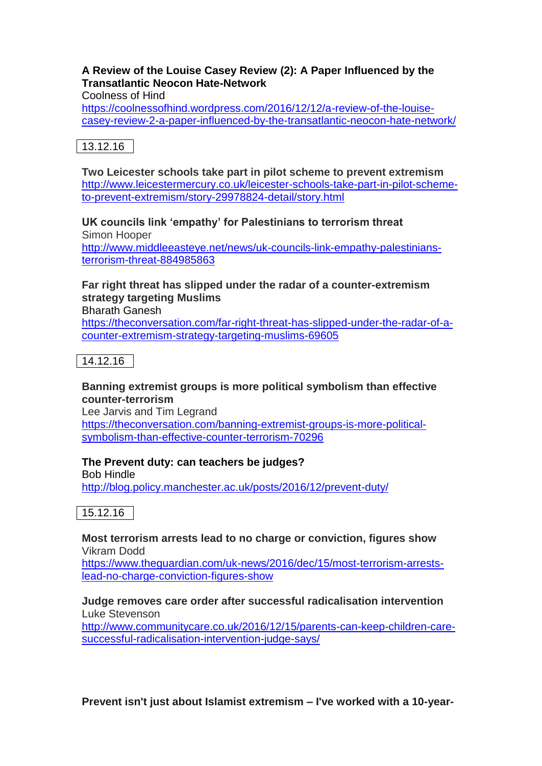### **A Review of the Louise Casey Review (2): A Paper Influenced by the Transatlantic Neocon Hate-Network**

Coolness of Hind

[https://coolnessofhind.wordpress.com/2016/12/12/a-review-of-the-louise](https://coolnessofhind.wordpress.com/2016/12/12/a-review-of-the-louise-casey-review-2-a-paper-influenced-by-the-transatlantic-neocon-hate-network/)[casey-review-2-a-paper-influenced-by-the-transatlantic-neocon-hate-network/](https://coolnessofhind.wordpress.com/2016/12/12/a-review-of-the-louise-casey-review-2-a-paper-influenced-by-the-transatlantic-neocon-hate-network/)

# 13.12.16

**Two Leicester schools take part in pilot scheme to prevent extremism** [http://www.leicestermercury.co.uk/leicester-schools-take-part-in-pilot-scheme](http://www.leicestermercury.co.uk/leicester-schools-take-part-in-pilot-scheme-to-prevent-extremism/story-29978824-detail/story.html)[to-prevent-extremism/story-29978824-detail/story.html](http://www.leicestermercury.co.uk/leicester-schools-take-part-in-pilot-scheme-to-prevent-extremism/story-29978824-detail/story.html)

# **UK councils link 'empathy' for Palestinians to terrorism threat**

Simon Hooper [http://www.middleeasteye.net/news/uk-councils-link-empathy-palestinians](http://www.middleeasteye.net/news/uk-councils-link-empathy-palestinians-terrorism-threat-884985863)[terrorism-threat-884985863](http://www.middleeasteye.net/news/uk-councils-link-empathy-palestinians-terrorism-threat-884985863)

# **Far right threat has slipped under the radar of a counter-extremism strategy targeting Muslims**

Bharath Ganesh

[https://theconversation.com/far-right-threat-has-slipped-under-the-radar-of-a](https://theconversation.com/far-right-threat-has-slipped-under-the-radar-of-a-counter-extremism-strategy-targeting-muslims-69605)[counter-extremism-strategy-targeting-muslims-69605](https://theconversation.com/far-right-threat-has-slipped-under-the-radar-of-a-counter-extremism-strategy-targeting-muslims-69605)

14.12.16

### **Banning extremist groups is more political symbolism than effective counter-terrorism**

Lee Jarvis and Tim Legrand [https://theconversation.com/banning-extremist-groups-is-more-political](https://theconversation.com/banning-extremist-groups-is-more-political-symbolism-than-effective-counter-terrorism-70296)[symbolism-than-effective-counter-terrorism-70296](https://theconversation.com/banning-extremist-groups-is-more-political-symbolism-than-effective-counter-terrorism-70296)

## **The Prevent duty: can teachers be judges?**

Bob Hindle <http://blog.policy.manchester.ac.uk/posts/2016/12/prevent-duty/>



### **Most terrorism arrests lead to no charge or conviction, figures show** Vikram Dodd

[https://www.theguardian.com/uk-news/2016/dec/15/most-terrorism-arrests](https://www.theguardian.com/uk-news/2016/dec/15/most-terrorism-arrests-lead-no-charge-conviction-figures-show)[lead-no-charge-conviction-figures-show](https://www.theguardian.com/uk-news/2016/dec/15/most-terrorism-arrests-lead-no-charge-conviction-figures-show)

### **Judge removes care order after successful radicalisation intervention** Luke Stevenson

[http://www.communitycare.co.uk/2016/12/15/parents-can-keep-children-care](http://www.communitycare.co.uk/2016/12/15/parents-can-keep-children-care-successful-radicalisation-intervention-judge-says/)[successful-radicalisation-intervention-judge-says/](http://www.communitycare.co.uk/2016/12/15/parents-can-keep-children-care-successful-radicalisation-intervention-judge-says/)

**Prevent isn't just about Islamist extremism – I've worked with a 10-year-**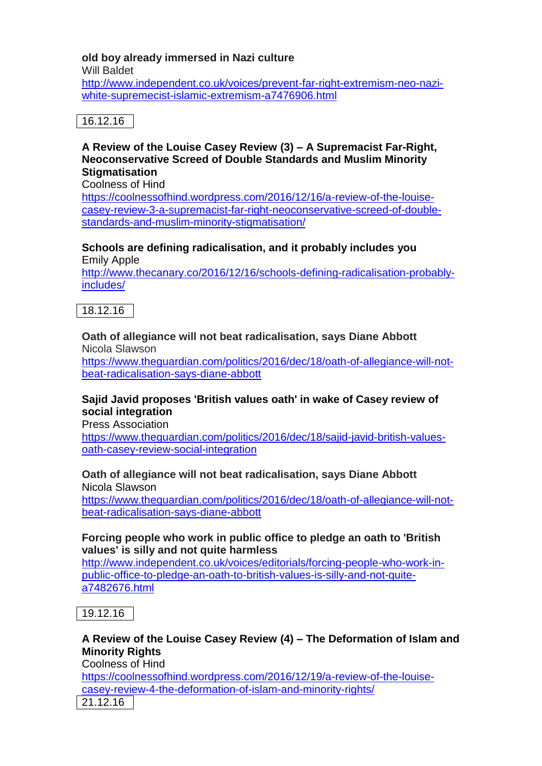## **old boy already immersed in Nazi culture**

Will Baldet

[http://www.independent.co.uk/voices/prevent-far-right-extremism-neo-nazi](http://www.independent.co.uk/voices/prevent-far-right-extremism-neo-nazi-white-supremecist-islamic-extremism-a7476906.html)[white-supremecist-islamic-extremism-a7476906.html](http://www.independent.co.uk/voices/prevent-far-right-extremism-neo-nazi-white-supremecist-islamic-extremism-a7476906.html)

## 16.12.16

### **A Review of the Louise Casey Review (3) – A Supremacist Far-Right, Neoconservative Screed of Double Standards and Muslim Minority Stigmatisation**

Coolness of Hind

[https://coolnessofhind.wordpress.com/2016/12/16/a-review-of-the-louise](https://coolnessofhind.wordpress.com/2016/12/16/a-review-of-the-louise-casey-review-3-a-supremacist-far-right-neoconservative-screed-of-double-standards-and-muslim-minority-stigmatisation/)[casey-review-3-a-supremacist-far-right-neoconservative-screed-of-double](https://coolnessofhind.wordpress.com/2016/12/16/a-review-of-the-louise-casey-review-3-a-supremacist-far-right-neoconservative-screed-of-double-standards-and-muslim-minority-stigmatisation/)[standards-and-muslim-minority-stigmatisation/](https://coolnessofhind.wordpress.com/2016/12/16/a-review-of-the-louise-casey-review-3-a-supremacist-far-right-neoconservative-screed-of-double-standards-and-muslim-minority-stigmatisation/)

**Schools are defining radicalisation, and it probably includes you** Emily Apple

[http://www.thecanary.co/2016/12/16/schools-defining-radicalisation-probably](http://www.thecanary.co/2016/12/16/schools-defining-radicalisation-probably-includes/)[includes/](http://www.thecanary.co/2016/12/16/schools-defining-radicalisation-probably-includes/)

18.12.16

### **Oath of allegiance will not beat radicalisation, says Diane Abbott** Nicola Slawson

[https://www.theguardian.com/politics/2016/dec/18/oath-of-allegiance-will-not](https://www.theguardian.com/politics/2016/dec/18/oath-of-allegiance-will-not-beat-radicalisation-says-diane-abbott)[beat-radicalisation-says-diane-abbott](https://www.theguardian.com/politics/2016/dec/18/oath-of-allegiance-will-not-beat-radicalisation-says-diane-abbott)

## **Sajid Javid proposes 'British values oath' in wake of Casey review of social integration**

Press Association

[https://www.theguardian.com/politics/2016/dec/18/sajid-javid-british-values](https://www.theguardian.com/politics/2016/dec/18/sajid-javid-british-values-oath-casey-review-social-integration)[oath-casey-review-social-integration](https://www.theguardian.com/politics/2016/dec/18/sajid-javid-british-values-oath-casey-review-social-integration)

### **Oath of allegiance will not beat radicalisation, says Diane Abbott** Nicola Slawson

[https://www.theguardian.com/politics/2016/dec/18/oath-of-allegiance-will-not](https://www.theguardian.com/politics/2016/dec/18/oath-of-allegiance-will-not-beat-radicalisation-says-diane-abbott)[beat-radicalisation-says-diane-abbott](https://www.theguardian.com/politics/2016/dec/18/oath-of-allegiance-will-not-beat-radicalisation-says-diane-abbott)

### **Forcing people who work in public office to pledge an oath to 'British values' is silly and not quite harmless**

[http://www.independent.co.uk/voices/editorials/forcing-people-who-work-in](http://www.independent.co.uk/voices/editorials/forcing-people-who-work-in-public-office-to-pledge-an-oath-to-british-values-is-silly-and-not-quite-a7482676.html)[public-office-to-pledge-an-oath-to-british-values-is-silly-and-not-quite](http://www.independent.co.uk/voices/editorials/forcing-people-who-work-in-public-office-to-pledge-an-oath-to-british-values-is-silly-and-not-quite-a7482676.html)[a7482676.html](http://www.independent.co.uk/voices/editorials/forcing-people-who-work-in-public-office-to-pledge-an-oath-to-british-values-is-silly-and-not-quite-a7482676.html)

19.12.16

# **A Review of the Louise Casey Review (4) – The Deformation of Islam and Minority Rights**

Coolness of Hind

[https://coolnessofhind.wordpress.com/2016/12/19/a-review-of-the-louise](https://coolnessofhind.wordpress.com/2016/12/19/a-review-of-the-louise-casey-review-4-the-deformation-of-islam-and-minority-rights/)[casey-review-4-the-deformation-of-islam-and-minority-rights/](https://coolnessofhind.wordpress.com/2016/12/19/a-review-of-the-louise-casey-review-4-the-deformation-of-islam-and-minority-rights/)

21.12.16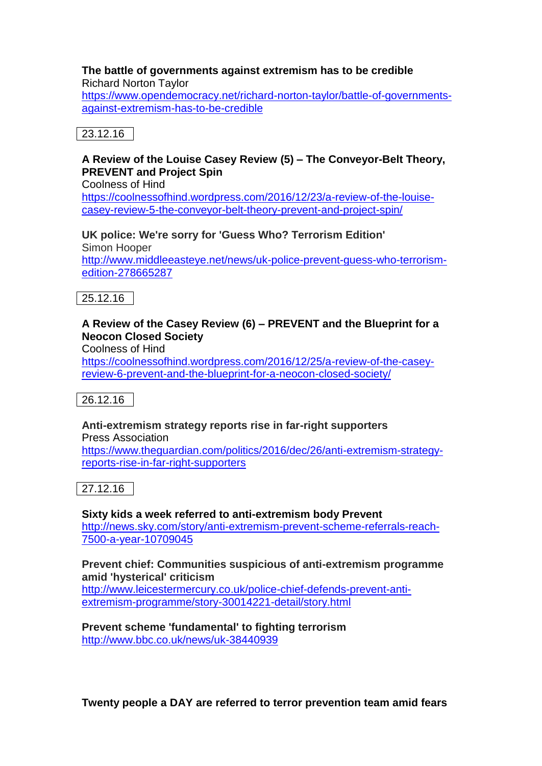#### **The battle of governments against extremism has to be credible**  Richard Norton Taylor

[https://www.opendemocracy.net/richard-norton-taylor/battle-of-governments](https://www.opendemocracy.net/richard-norton-taylor/battle-of-governments-against-extremism-has-to-be-credible)[against-extremism-has-to-be-credible](https://www.opendemocracy.net/richard-norton-taylor/battle-of-governments-against-extremism-has-to-be-credible)

# 23.12.16

### **A Review of the Louise Casey Review (5) – The Conveyor-Belt Theory, PREVENT and Project Spin**

Coolness of Hind [https://coolnessofhind.wordpress.com/2016/12/23/a-review-of-the-louise](https://coolnessofhind.wordpress.com/2016/12/23/a-review-of-the-louise-casey-review-5-the-conveyor-belt-theory-prevent-and-project-spin/)[casey-review-5-the-conveyor-belt-theory-prevent-and-project-spin/](https://coolnessofhind.wordpress.com/2016/12/23/a-review-of-the-louise-casey-review-5-the-conveyor-belt-theory-prevent-and-project-spin/)

**UK police: We're sorry for 'Guess Who? Terrorism Edition'** Simon Hooper [http://www.middleeasteye.net/news/uk-police-prevent-guess-who-terrorism](http://www.middleeasteye.net/news/uk-police-prevent-guess-who-terrorism-edition-278665287)[edition-278665287](http://www.middleeasteye.net/news/uk-police-prevent-guess-who-terrorism-edition-278665287)



## **A Review of the Casey Review (6) – PREVENT and the Blueprint for a Neocon Closed Society**

Coolness of Hind

[https://coolnessofhind.wordpress.com/2016/12/25/a-review-of-the-casey](https://coolnessofhind.wordpress.com/2016/12/25/a-review-of-the-casey-review-6-prevent-and-the-blueprint-for-a-neocon-closed-society/)[review-6-prevent-and-the-blueprint-for-a-neocon-closed-society/](https://coolnessofhind.wordpress.com/2016/12/25/a-review-of-the-casey-review-6-prevent-and-the-blueprint-for-a-neocon-closed-society/)

26.12.16

## **Anti-extremism strategy reports rise in far-right supporters**

Press Association [https://www.theguardian.com/politics/2016/dec/26/anti-extremism-strategy](https://www.theguardian.com/politics/2016/dec/26/anti-extremism-strategy-reports-rise-in-far-right-supporters)[reports-rise-in-far-right-supporters](https://www.theguardian.com/politics/2016/dec/26/anti-extremism-strategy-reports-rise-in-far-right-supporters)

27.12.16

**Sixty kids a week referred to anti-extremism body Prevent** [http://news.sky.com/story/anti-extremism-prevent-scheme-referrals-reach-](http://news.sky.com/story/anti-extremism-prevent-scheme-referrals-reach-7500-a-year-10709045)[7500-a-year-10709045](http://news.sky.com/story/anti-extremism-prevent-scheme-referrals-reach-7500-a-year-10709045)

### **Prevent chief: Communities suspicious of anti-extremism programme amid 'hysterical' criticism**

[http://www.leicestermercury.co.uk/police-chief-defends-prevent-anti](http://www.leicestermercury.co.uk/police-chief-defends-prevent-anti-extremism-programme/story-30014221-detail/story.html)[extremism-programme/story-30014221-detail/story.html](http://www.leicestermercury.co.uk/police-chief-defends-prevent-anti-extremism-programme/story-30014221-detail/story.html)

**Prevent scheme 'fundamental' to fighting terrorism** <http://www.bbc.co.uk/news/uk-38440939>

**Twenty people a DAY are referred to terror prevention team amid fears**